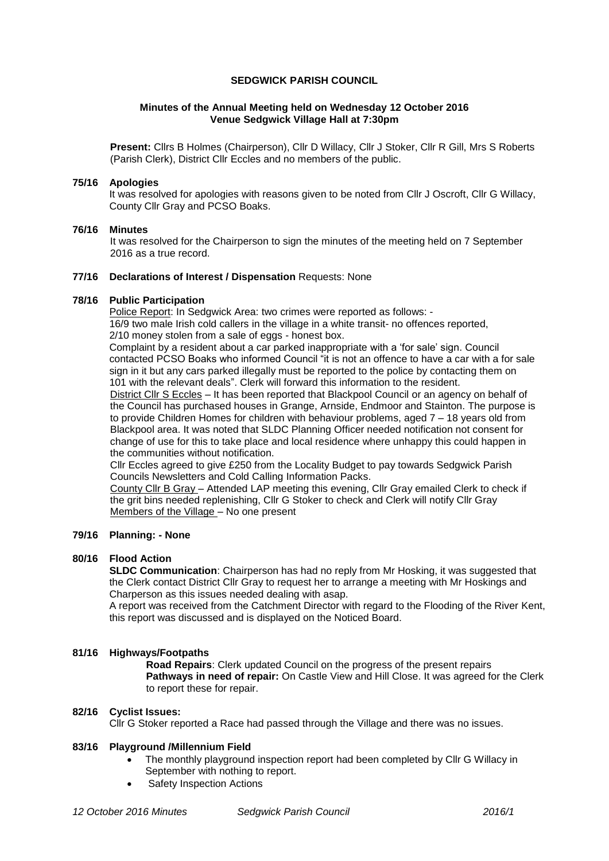# **SEDGWICK PARISH COUNCIL**

# **Minutes of the Annual Meeting held on Wednesday 12 October 2016 Venue Sedgwick Village Hall at 7:30pm**

**Present:** Cllrs B Holmes (Chairperson), Cllr D Willacy, Cllr J Stoker, Cllr R Gill, Mrs S Roberts (Parish Clerk), District Cllr Eccles and no members of the public.

### **75/16 Apologies**

It was resolved for apologies with reasons given to be noted from Cllr J Oscroft, Cllr G Willacy, County Cllr Gray and PCSO Boaks.

### **76/16 Minutes**

It was resolved for the Chairperson to sign the minutes of the meeting held on 7 September 2016 as a true record.

### **77/16 Declarations of Interest / Dispensation** Requests: None

### **78/16 Public Participation**

Police Report: In Sedgwick Area: two crimes were reported as follows: - 16/9 two male Irish cold callers in the village in a white transit- no offences reported, 2/10 money stolen from a sale of eggs - honest box.

Complaint by a resident about a car parked inappropriate with a 'for sale' sign. Council contacted PCSO Boaks who informed Council "it is not an offence to have a car with a for sale sign in it but any cars parked illegally must be reported to the police by contacting them on 101 with the relevant deals". Clerk will forward this information to the resident.

District Cllr S Eccles – It has been reported that Blackpool Council or an agency on behalf of the Council has purchased houses in Grange, Arnside, Endmoor and Stainton. The purpose is to provide Children Homes for children with behaviour problems, aged 7 – 18 years old from Blackpool area. It was noted that SLDC Planning Officer needed notification not consent for change of use for this to take place and local residence where unhappy this could happen in the communities without notification.

Cllr Eccles agreed to give £250 from the Locality Budget to pay towards Sedgwick Parish Councils Newsletters and Cold Calling Information Packs.

County Cllr B Gray – Attended LAP meeting this evening, Cllr Gray emailed Clerk to check if the grit bins needed replenishing, Cllr G Stoker to check and Clerk will notify Cllr Gray Members of the Village – No one present

# **79/16 Planning: - None**

### **80/16 Flood Action**

**SLDC Communication**: Chairperson has had no reply from Mr Hosking, it was suggested that the Clerk contact District Cllr Gray to request her to arrange a meeting with Mr Hoskings and Charperson as this issues needed dealing with asap.

A report was received from the Catchment Director with regard to the Flooding of the River Kent, this report was discussed and is displayed on the Noticed Board.

### **81/16 Highways/Footpaths**

**Road Repairs**: Clerk updated Council on the progress of the present repairs **Pathways in need of repair:** On Castle View and Hill Close. It was agreed for the Clerk to report these for repair.

# **82/16 Cyclist Issues:**

Cllr G Stoker reported a Race had passed through the Village and there was no issues.

### **83/16 Playground /Millennium Field**

- The monthly playground inspection report had been completed by Cllr G Willacy in September with nothing to report.
- Safety Inspection Actions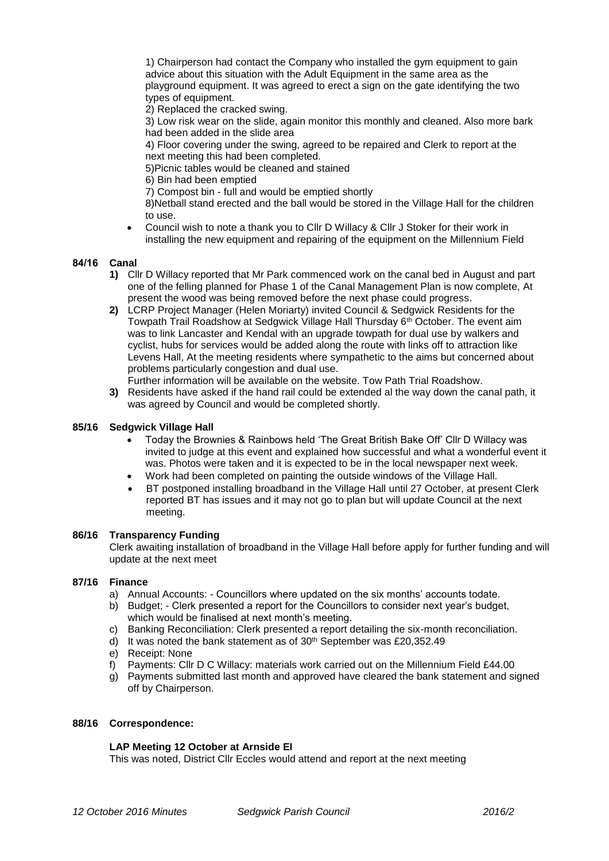1) Chairperson had contact the Company who installed the gym equipment to gain advice about this situation with the Adult Equipment in the same area as the playground equipment. It was agreed to erect a sign on the gate identifying the two types of equipment.

2) Replaced the cracked swing.

3) Low risk wear on the slide, again monitor this monthly and cleaned. Also more bark had been added in the slide area

4) Floor covering under the swing, agreed to be repaired and Clerk to report at the next meeting this had been completed.

5)Picnic tables would be cleaned and stained

6) Bin had been emptied

7) Compost bin - full and would be emptied shortly

8)Netball stand erected and the ball would be stored in the Village Hall for the children to use.

 Council wish to note a thank you to Cllr D Willacy & Cllr J Stoker for their work in installing the new equipment and repairing of the equipment on the Millennium Field

# **84/16 Canal**

- **1)** Cllr D Willacy reported that Mr Park commenced work on the canal bed in August and part one of the felling planned for Phase 1 of the Canal Management Plan is now complete, At present the wood was being removed before the next phase could progress.
- **2)** LCRP Project Manager (Helen Moriarty) invited Council & Sedgwick Residents for the Towpath Trail Roadshow at Sedgwick Village Hall Thursday 6th October. The event aim was to link Lancaster and Kendal with an upgrade towpath for dual use by walkers and cyclist, hubs for services would be added along the route with links off to attraction like Levens Hall, At the meeting residents where sympathetic to the aims but concerned about problems particularly congestion and dual use. Further information will be available on the website. Tow Path Trial Roadshow.
- **3)** Residents have asked if the hand rail could be extended al the way down the canal path, it was agreed by Council and would be completed shortly.

### **85/16 Sedgwick Village Hall**

- Today the Brownies & Rainbows held 'The Great British Bake Off' Cllr D Willacy was invited to judge at this event and explained how successful and what a wonderful event it was. Photos were taken and it is expected to be in the local newspaper next week.
- Work had been completed on painting the outside windows of the Village Hall.
- BT postponed installing broadband in the Village Hall until 27 October, at present Clerk reported BT has issues and it may not go to plan but will update Council at the next meeting.

### **86/16 Transparency Funding**

Clerk awaiting installation of broadband in the Village Hall before apply for further funding and will update at the next meet

### **87/16 Finance**

- a) Annual Accounts: Councillors where updated on the six months' accounts todate.
- b) Budget; Clerk presented a report for the Councillors to consider next year's budget, which would be finalised at next month's meeting.
- c) Banking Reconciliation: Clerk presented a report detailing the six-month reconciliation.
- d) It was noted the bank statement as of  $30<sup>th</sup>$  September was £20,352.49
- e) Receipt: None
- f) Payments: Cllr D C Willacy: materials work carried out on the Millennium Field £44.00
- g) Payments submitted last month and approved have cleared the bank statement and signed off by Chairperson.

### **88/16 Correspondence:**

### **LAP Meeting 12 October at Arnside EI**

This was noted, District Cllr Eccles would attend and report at the next meeting